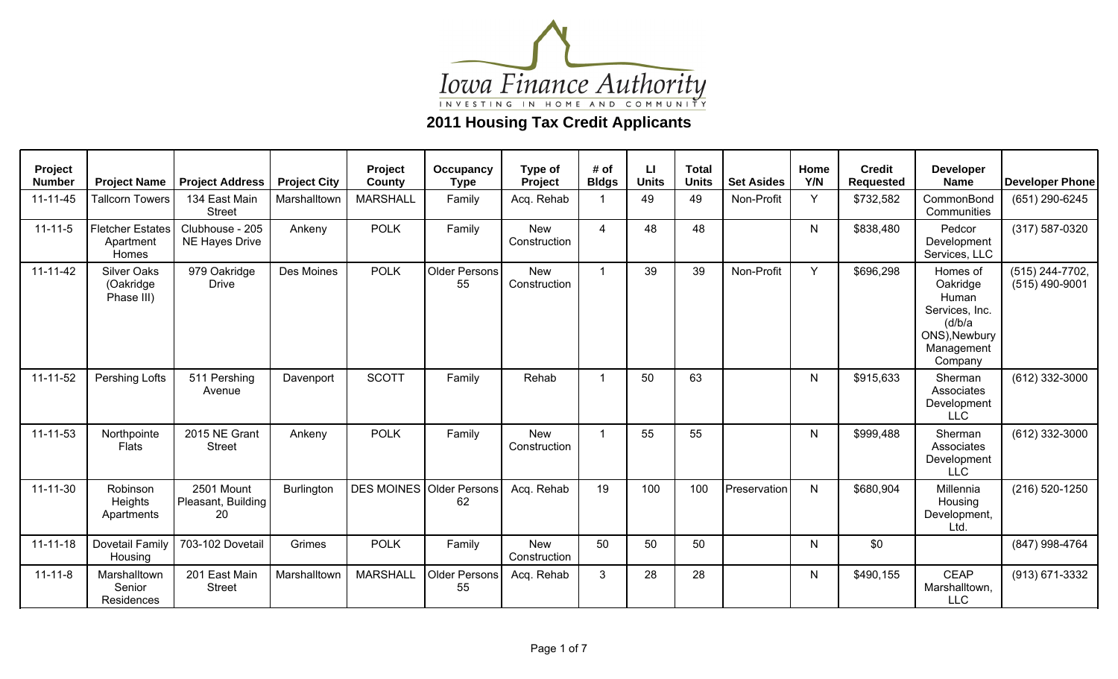

| Project<br><b>Number</b> | <b>Project Name</b>                           | <b>Project Address</b>                   | <b>Project City</b> | Project<br>County | Occupancy<br><b>Type</b>              | Type of<br>Project         | # of<br><b>Bldgs</b> | Ш<br><b>Units</b> | <b>Total</b><br><b>Units</b> | <b>Set Asides</b> | Home<br>Y/N  | <b>Credit</b><br><b>Requested</b> | <b>Developer</b><br><b>Name</b>                                                                      | <b>Developer Phone</b>              |
|--------------------------|-----------------------------------------------|------------------------------------------|---------------------|-------------------|---------------------------------------|----------------------------|----------------------|-------------------|------------------------------|-------------------|--------------|-----------------------------------|------------------------------------------------------------------------------------------------------|-------------------------------------|
| $11 - 11 - 45$           | <b>Tallcorn Towers</b>                        | 134 East Main<br><b>Street</b>           | Marshalltown        | <b>MARSHALL</b>   | Family                                | Acq. Rehab                 |                      | 49                | 49                           | Non-Profit        | Y            | \$732,582                         | CommonBond<br>Communities                                                                            | (651) 290-6245                      |
| $11 - 11 - 5$            | <b>Fletcher Estates</b><br>Apartment<br>Homes | Clubhouse - 205<br><b>NE Hayes Drive</b> | Ankeny              | <b>POLK</b>       | Family                                | <b>New</b><br>Construction | $\overline{4}$       | 48                | 48                           |                   | N            | \$838,480                         | Pedcor<br>Development<br>Services, LLC                                                               | (317) 587-0320                      |
| $11 - 11 - 42$           | <b>Silver Oaks</b><br>(Oakridge<br>Phase III) | 979 Oakridge<br><b>Drive</b>             | Des Moines          | <b>POLK</b>       | Older Persons<br>55                   | <b>New</b><br>Construction |                      | 39                | 39                           | Non-Profit        | Y            | \$696,298                         | Homes of<br>Oakridge<br>Human<br>Services, Inc.<br>(d/b/a)<br>ONS), Newbury<br>Management<br>Company | (515) 244-7702,<br>$(515)$ 490-9001 |
| $11 - 11 - 52$           | Pershing Lofts                                | 511 Pershing<br>Avenue                   | Davenport           | <b>SCOTT</b>      | Family                                | Rehab                      |                      | 50                | 63                           |                   | $\mathsf{N}$ | \$915,633                         | Sherman<br>Associates<br>Development<br><b>LLC</b>                                                   | (612) 332-3000                      |
| 11-11-53                 | Northpointe<br><b>Flats</b>                   | 2015 NE Grant<br><b>Street</b>           | Ankeny              | <b>POLK</b>       | Family                                | <b>New</b><br>Construction |                      | 55                | 55                           |                   | N.           | \$999,488                         | Sherman<br>Associates<br>Development<br><b>LLC</b>                                                   | (612) 332-3000                      |
| $11 - 11 - 30$           | Robinson<br>Heights<br>Apartments             | 2501 Mount<br>Pleasant, Building<br>20   | <b>Burlington</b>   |                   | <b>DES MOINES</b> Older Persons<br>62 | Acq. Rehab                 | 19                   | 100               | 100                          | Preservation      | $\mathsf{N}$ | \$680,904                         | Millennia<br>Housing<br>Development,<br>Ltd.                                                         | (216) 520-1250                      |
| $11 - 11 - 18$           | Dovetail Family<br>Housing                    | 703-102 Dovetail                         | Grimes              | <b>POLK</b>       | Family                                | <b>New</b><br>Construction | 50                   | 50                | 50                           |                   | N            | \$0                               |                                                                                                      | (847) 998-4764                      |
| $11 - 11 - 8$            | Marshalltown<br>Senior<br>Residences          | 201 East Main<br><b>Street</b>           | Marshalltown        | <b>MARSHALL</b>   | <b>Older Persons</b><br>55            | Acq. Rehab                 | $\mathbf{3}$         | 28                | 28                           |                   | $\mathsf{N}$ | \$490,155                         | <b>CEAP</b><br>Marshalltown,<br><b>LLC</b>                                                           | (913) 671-3332                      |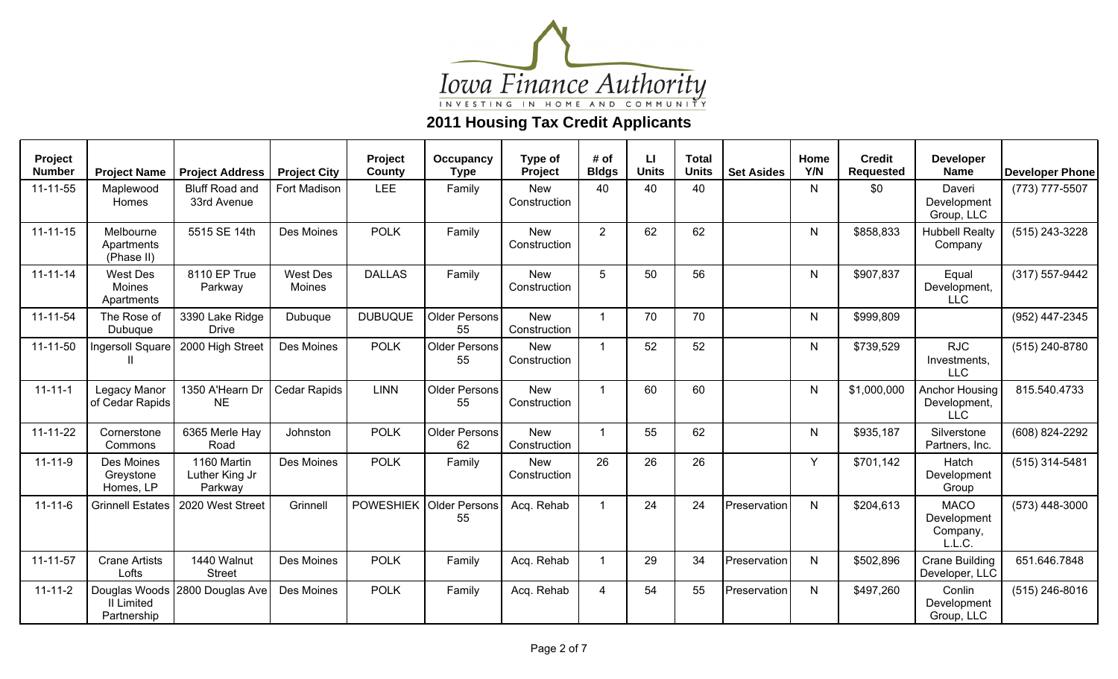

| Project<br><b>Number</b> | <b>Project Name</b>                               | <b>Project Address</b>                   | <b>Project City</b>       | Project<br>County | Occupancy<br><b>Type</b>   | Type of<br><b>Project</b>  | # of<br><b>Bldgs</b>    | п<br><b>Units</b> | <b>Total</b><br><b>Units</b> | <b>Set Asides</b> | Home<br>Y/N  | <b>Credit</b><br>Requested | <b>Developer</b><br><b>Name</b>                     | <b>Developer Phone</b> |
|--------------------------|---------------------------------------------------|------------------------------------------|---------------------------|-------------------|----------------------------|----------------------------|-------------------------|-------------------|------------------------------|-------------------|--------------|----------------------------|-----------------------------------------------------|------------------------|
| $11 - 11 - 55$           | Maplewood<br>Homes                                | <b>Bluff Road and</b><br>33rd Avenue     | Fort Madison              | LEE               | Family                     | <b>New</b><br>Construction | 40                      | 40                | 40                           |                   | N            | \$0                        | Daveri<br>Development<br>Group, LLC                 | (773) 777-5507         |
| $11 - 11 - 15$           | Melbourne<br>Apartments<br>(Phase II)             | 5515 SE 14th                             | Des Moines                | <b>POLK</b>       | Family                     | <b>New</b><br>Construction | 2                       | 62                | 62                           |                   | N.           | \$858,833                  | <b>Hubbell Realty</b><br>Company                    | (515) 243-3228         |
| $11 - 11 - 14$           | West Des<br>Moines<br>Apartments                  | 8110 EP True<br>Parkway                  | <b>West Des</b><br>Moines | <b>DALLAS</b>     | Family                     | <b>New</b><br>Construction | 5                       | 50                | 56                           |                   | N            | \$907,837                  | Equal<br>Development,<br><b>LLC</b>                 | (317) 557-9442         |
| $11 - 11 - 54$           | The Rose of<br>Dubuque                            | 3390 Lake Ridge<br><b>Drive</b>          | Dubuque                   | <b>DUBUQUE</b>    | <b>Older Persons</b><br>55 | <b>New</b><br>Construction |                         | 70                | 70                           |                   | N            | \$999,809                  |                                                     | (952) 447-2345         |
| $11 - 11 - 50$           | <b>Ingersoll Square</b><br>Ш                      | 2000 High Street                         | Des Moines                | <b>POLK</b>       | <b>Older Persons</b><br>55 | <b>New</b><br>Construction | $\overline{1}$          | 52                | 52                           |                   | N.           | \$739,529                  | <b>RJC</b><br>Investments,<br><b>LLC</b>            | (515) 240-8780         |
| $11 - 11 - 1$            | Legacy Manor<br>of Cedar Rapids                   | 1350 A'Hearn Dr<br>NE.                   | <b>Cedar Rapids</b>       | <b>LINN</b>       | <b>Older Persons</b><br>55 | <b>New</b><br>Construction |                         | 60                | 60                           |                   | N            | \$1,000,000                | <b>Anchor Housing</b><br>Development,<br><b>LLC</b> | 815.540.4733           |
| $11 - 11 - 22$           | Cornerstone<br>Commons                            | 6365 Merle Hay<br>Road                   | Johnston                  | <b>POLK</b>       | <b>Older Persons</b><br>62 | <b>New</b><br>Construction | $\overline{\mathbf{1}}$ | 55                | 62                           |                   | N            | \$935,187                  | Silverstone<br>Partners, Inc.                       | (608) 824-2292         |
| $11 - 11 - 9$            | Des Moines<br>Greystone<br>Homes, LP              | 1160 Martin<br>Luther King Jr<br>Parkway | Des Moines                | <b>POLK</b>       | Family                     | <b>New</b><br>Construction | 26                      | 26                | 26                           |                   | Y            | \$701,142                  | Hatch<br>Development<br>Group                       | (515) 314-5481         |
| $11 - 11 - 6$            | <b>Grinnell Estates</b>                           | 2020 West Street                         | Grinnell                  | <b>POWESHIEK</b>  | <b>Older Persons</b><br>55 | Acq. Rehab                 | $\overline{1}$          | 24                | 24                           | Preservation      | N            | \$204,613                  | <b>MACO</b><br>Development<br>Company,<br>L.L.C.    | (573) 448-3000         |
| 11-11-57                 | <b>Crane Artists</b><br>Lofts                     | 1440 Walnut<br><b>Street</b>             | Des Moines                | <b>POLK</b>       | Family                     | Acq. Rehab                 |                         | 29                | 34                           | Preservation      | N            | \$502,896                  | <b>Crane Building</b><br>Developer, LLC             | 651.646.7848           |
| $11 - 11 - 2$            | Douglas Woods<br><b>II Limited</b><br>Partnership | 2800 Douglas Ave                         | Des Moines                | <b>POLK</b>       | Family                     | Acq. Rehab                 | 4                       | 54                | 55                           | Preservation      | $\mathsf{N}$ | \$497,260                  | Conlin<br>Development<br>Group, LLC                 | $(515)$ 246-8016       |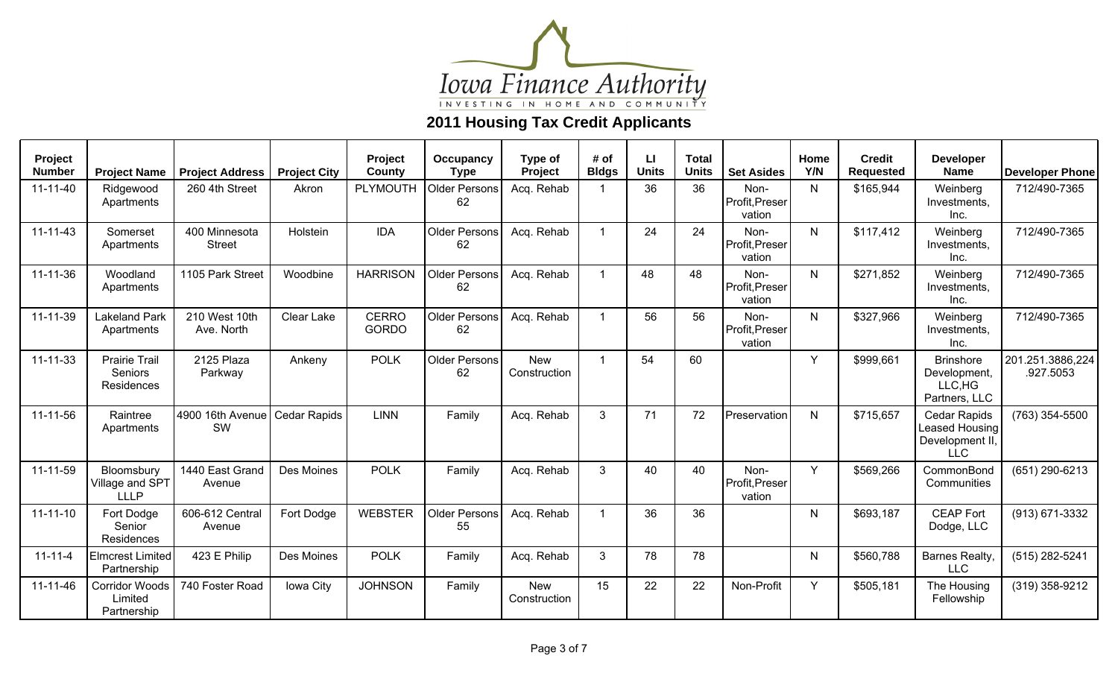

| Project<br><b>Number</b> | <b>Project Name</b>                             | <b>Project Address</b>         | <b>Project City</b> | Project<br>County            | Occupancy<br><b>Type</b>   | Type of<br>Project         | # of<br><b>Bldgs</b> | LI.<br><b>Units</b> | <b>Total</b><br><b>Units</b> | <b>Set Asides</b>                | Home<br>Y/N | <b>Credit</b><br><b>Requested</b> | <b>Developer</b><br><b>Name</b>                                        | Developer Phone               |
|--------------------------|-------------------------------------------------|--------------------------------|---------------------|------------------------------|----------------------------|----------------------------|----------------------|---------------------|------------------------------|----------------------------------|-------------|-----------------------------------|------------------------------------------------------------------------|-------------------------------|
| $11 - 11 - 40$           | Ridgewood<br>Apartments                         | 260 4th Street                 | Akron               | PLYMOUTH                     | <b>Older Persons</b><br>62 | Acq. Rehab                 | -1                   | 36                  | 36                           | Non-<br>Profit, Preser<br>vation | N.          | \$165,944                         | Weinberg<br>Investments.<br>Inc.                                       | 712/490-7365                  |
| $11 - 11 - 43$           | Somerset<br>Apartments                          | 400 Minnesota<br><b>Street</b> | Holstein            | <b>IDA</b>                   | <b>Older Persons</b><br>62 | Acq. Rehab                 | $\blacktriangleleft$ | 24                  | 24                           | Non-<br>Profit, Preser<br>vation | N.          | \$117,412                         | Weinberg<br>Investments,<br>Inc.                                       | 712/490-7365                  |
| 11-11-36                 | Woodland<br>Apartments                          | 1105 Park Street               | Woodbine            | <b>HARRISON</b>              | <b>Older Persons</b><br>62 | Acq. Rehab                 | $\mathbf 1$          | 48                  | 48                           | Non-<br>Profit, Preser<br>vation | N           | \$271,852                         | Weinberg<br>Investments,<br>Inc.                                       | 712/490-7365                  |
| 11-11-39                 | Lakeland Park<br>Apartments                     | 210 West 10th<br>Ave. North    | Clear Lake          | <b>CERRO</b><br><b>GORDO</b> | <b>Older Persons</b><br>62 | Acq. Rehab                 | $\overline{1}$       | 56                  | 56                           | Non-<br>Profit, Preser<br>vation | N.          | \$327,966                         | Weinberg<br>Investments.<br>Inc.                                       | 712/490-7365                  |
| $11 - 11 - 33$           | <b>Prairie Trail</b><br>Seniors<br>Residences   | 2125 Plaza<br>Parkway          | Ankeny              | <b>POLK</b>                  | <b>Older Persons</b><br>62 | <b>New</b><br>Construction | $\overline{1}$       | 54                  | 60                           |                                  | Y           | \$999,661                         | <b>Brinshore</b><br>Development,<br>LLC, HG<br>Partners, LLC           | 201.251.3886,224<br>.927.5053 |
| 11-11-56                 | Raintree<br>Apartments                          | 4900 16th Avenue<br>SW         | <b>Cedar Rapids</b> | <b>LINN</b>                  | Family                     | Acq. Rehab                 | $\mathbf{3}$         | 71                  | 72                           | Preservation                     | N.          | \$715,657                         | <b>Cedar Rapids</b><br>Leased Housing<br>Development II,<br><b>LLC</b> | (763) 354-5500                |
| 11-11-59                 | Bloomsbury<br>Village and SPT<br>IIIP           | 1440 East Grand<br>Avenue      | Des Moines          | <b>POLK</b>                  | Family                     | Acq. Rehab                 | 3                    | 40                  | 40                           | Non-<br>Profit, Preser<br>vation | Y           | \$569,266                         | CommonBond<br>Communities                                              | (651) 290-6213                |
| $11 - 11 - 10$           | Fort Dodge<br>Senior<br><b>Residences</b>       | 606-612 Central<br>Avenue      | Fort Dodge          | <b>WEBSTER</b>               | <b>Older Persons</b><br>55 | Acq. Rehab                 | $\overline{1}$       | 36                  | 36                           |                                  | N.          | \$693,187                         | <b>CEAP Fort</b><br>Dodge, LLC                                         | (913) 671-3332                |
| $11 - 11 - 4$            | Elmcrest Limited<br>Partnership                 | 423 E Philip                   | Des Moines          | <b>POLK</b>                  | Family                     | Acq. Rehab                 | 3                    | 78                  | 78                           |                                  | N.          | \$560,788                         | Barnes Realty,<br><b>LLC</b>                                           | (515) 282-5241                |
| $11 - 11 - 46$           | <b>Corridor Woods</b><br>Limited<br>Partnership | 740 Foster Road                | Iowa City           | <b>JOHNSON</b>               | Family                     | <b>New</b><br>Construction | 15                   | 22                  | 22                           | Non-Profit                       | Y           | \$505,181                         | The Housing<br>Fellowship                                              | (319) 358-9212                |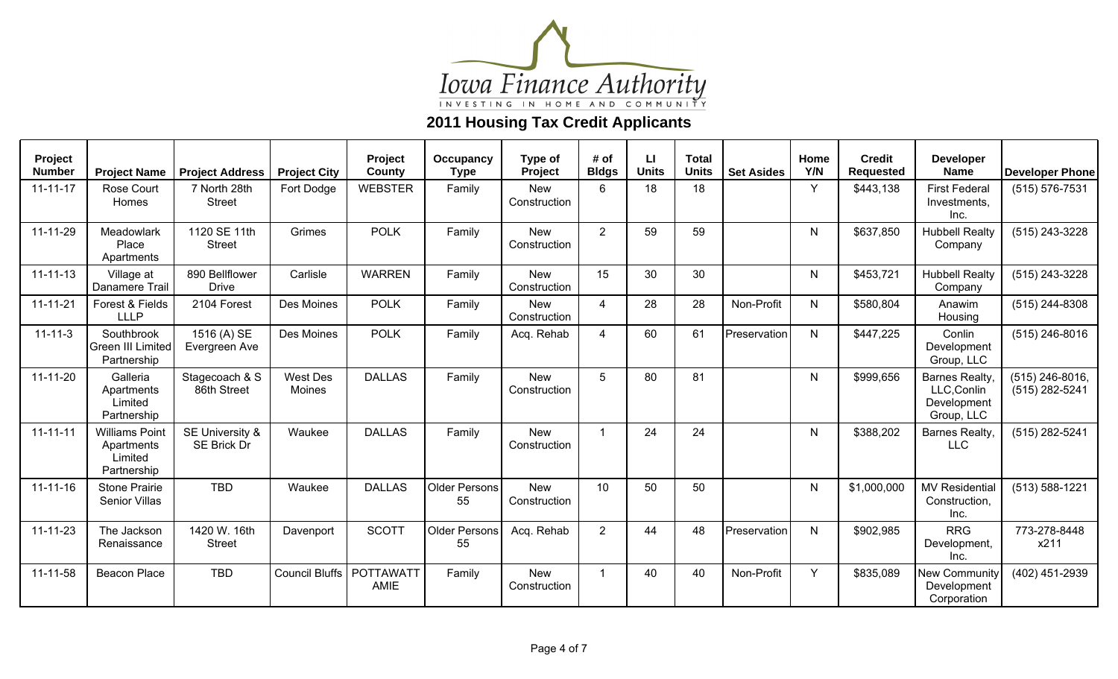

| Project<br><b>Number</b> | <b>Project Name</b>                                           | <b>Project Address</b>                | <b>Project City</b>       | Project<br>County               | Occupancy<br><b>Type</b>   | Type of<br>Project         | # of<br><b>Bldgs</b>    | $\mathbf{L}$<br><b>Units</b> | <b>Total</b><br><b>Units</b> | <b>Set Asides</b> | Home<br>Y/N | <b>Credit</b><br><b>Requested</b> | <b>Developer</b><br><b>Name</b>                            | <b>Developer Phone</b>              |
|--------------------------|---------------------------------------------------------------|---------------------------------------|---------------------------|---------------------------------|----------------------------|----------------------------|-------------------------|------------------------------|------------------------------|-------------------|-------------|-----------------------------------|------------------------------------------------------------|-------------------------------------|
| $11 - 11 - 17$           | Rose Court<br>Homes                                           | 7 North 28th<br><b>Street</b>         | Fort Dodge                | <b>WEBSTER</b>                  | Family                     | <b>New</b><br>Construction | 6                       | 18                           | 18                           |                   | Y           | \$443,138                         | <b>First Federal</b><br>Investments.<br>Inc.               | (515) 576-7531                      |
| 11-11-29                 | Meadowlark<br>Place<br>Apartments                             | 1120 SE 11th<br><b>Street</b>         | Grimes                    | <b>POLK</b>                     | Family                     | <b>New</b><br>Construction | $\overline{2}$          | 59                           | 59                           |                   | N           | \$637,850                         | <b>Hubbell Realty</b><br>Company                           | (515) 243-3228                      |
| $11 - 11 - 13$           | Village at<br>Danamere Trail                                  | 890 Bellflower<br><b>Drive</b>        | Carlisle                  | <b>WARREN</b>                   | Family                     | <b>New</b><br>Construction | 15                      | 30                           | 30                           |                   | N           | \$453,721                         | <b>Hubbell Realty</b><br>Company                           | (515) 243-3228                      |
| $11 - 11 - 21$           | Forest & Fields<br><b>LLLP</b>                                | 2104 Forest                           | Des Moines                | <b>POLK</b>                     | Family                     | <b>New</b><br>Construction | $\overline{\mathbf{A}}$ | 28                           | 28                           | Non-Profit        | N           | \$580,804                         | Anawim<br>Housing                                          | $(515)$ 244-8308                    |
| $11 - 11 - 3$            | Southbrook<br>Green III Limited<br>Partnership                | 1516 (A) SE<br>Evergreen Ave          | Des Moines                | <b>POLK</b>                     | Family                     | Acq. Rehab                 | 4                       | 60                           | 61                           | Preservation      | N.          | \$447,225                         | Conlin<br>Development<br>Group, LLC                        | $(515)$ 246-8016                    |
| $11 - 11 - 20$           | Galleria<br>Apartments<br>Limited<br>Partnership              | Stagecoach & S<br>86th Street         | <b>West Des</b><br>Moines | <b>DALLAS</b>                   | Family                     | <b>New</b><br>Construction | 5                       | 80                           | 81                           |                   | N           | \$999,656                         | Barnes Realty,<br>LLC, Conlin<br>Development<br>Group, LLC | $(515)$ 246-8016,<br>(515) 282-5241 |
| $11 - 11 - 11$           | <b>Williams Point</b><br>Apartments<br>Limited<br>Partnership | SE University &<br><b>SE Brick Dr</b> | Waukee                    | <b>DALLAS</b>                   | Family                     | <b>New</b><br>Construction |                         | 24                           | 24                           |                   | N           | \$388,202                         | Barnes Realty,<br><b>LLC</b>                               | (515) 282-5241                      |
| $11 - 11 - 16$           | <b>Stone Prairie</b><br><b>Senior Villas</b>                  | <b>TBD</b>                            | Waukee                    | <b>DALLAS</b>                   | <b>Older Persons</b><br>55 | <b>New</b><br>Construction | 10                      | 50                           | 50                           |                   | N.          | \$1,000,000                       | <b>MV Residential</b><br>Construction,<br>Inc.             | (513) 588-1221                      |
| $11 - 11 - 23$           | The Jackson<br>Renaissance                                    | 1420 W. 16th<br><b>Street</b>         | Davenport                 | <b>SCOTT</b>                    | <b>Older Persons</b><br>55 | Acq. Rehab                 | $\overline{2}$          | 44                           | 48                           | Preservation      | N           | \$902,985                         | <b>RRG</b><br>Development,<br>Inc.                         | 773-278-8448<br>x211                |
| 11-11-58                 | <b>Beacon Place</b>                                           | <b>TBD</b>                            | <b>Council Bluffs</b>     | <b>POTTAWATT</b><br><b>AMIE</b> | Family                     | <b>New</b><br>Construction |                         | 40                           | 40                           | Non-Profit        | Y           | \$835,089                         | <b>New Community</b><br>Development<br>Corporation         | (402) 451-2939                      |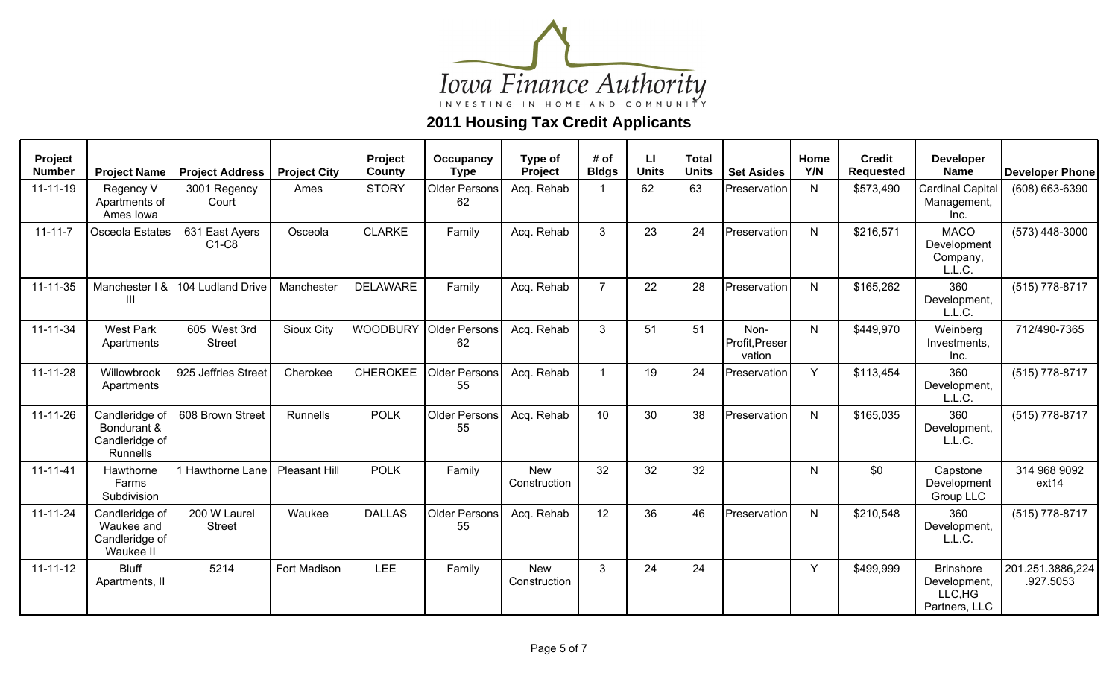

| Project<br><b>Number</b> | <b>Project Name</b>                                         | <b>Project Address</b>        | <b>Project City</b> | Project<br>County | Occupancy<br><b>Type</b>   | Type of<br>Project         | # of<br><b>Bldgs</b> | LI.<br><b>Units</b> | <b>Total</b><br><b>Units</b> | <b>Set Asides</b>                | Home<br>Y/N | <b>Credit</b><br><b>Requested</b> | <b>Developer</b><br><b>Name</b>                              | <b>Developer Phone</b>        |
|--------------------------|-------------------------------------------------------------|-------------------------------|---------------------|-------------------|----------------------------|----------------------------|----------------------|---------------------|------------------------------|----------------------------------|-------------|-----------------------------------|--------------------------------------------------------------|-------------------------------|
| $11 - 11 - 19$           | Regency V<br>Apartments of<br>Ames Iowa                     | 3001 Regency<br>Court         | Ames                | <b>STORY</b>      | <b>Older Persons</b><br>62 | Acq. Rehab                 |                      | 62                  | 63                           | Preservation                     | N           | \$573,490                         | <b>Cardinal Capital</b><br>Management,<br>Inc.               | (608) 663-6390                |
| $11 - 11 - 7$            | <b>Osceola Estates</b>                                      | 631 East Ayers<br>C1-C8       | Osceola             | <b>CLARKE</b>     | Family                     | Acq. Rehab                 | 3                    | 23                  | 24                           | Preservation                     | N.          | \$216,571                         | <b>MACO</b><br>Development<br>Company,<br>L.L.C.             | (573) 448-3000                |
| $11 - 11 - 35$           | Manchester I &<br>$\mathbf{III}$                            | 104 Ludland Drive             | Manchester          | <b>DELAWARE</b>   | Family                     | Acq. Rehab                 | $\overline{7}$       | 22                  | 28                           | Preservation                     | N           | \$165,262                         | 360<br>Development,<br>L.L.C.                                | (515) 778-8717                |
| $11 - 11 - 34$           | <b>West Park</b><br>Apartments                              | 605 West 3rd<br><b>Street</b> | Sioux City          | <b>WOODBURY</b>   | <b>Older Persons</b><br>62 | Acq. Rehab                 | $\mathbf{3}$         | 51                  | 51                           | Non-<br>Profit, Preser<br>vation | N           | \$449,970                         | Weinberg<br>Investments,<br>Inc.                             | 712/490-7365                  |
| $11 - 11 - 28$           | Willowbrook<br>Apartments                                   | 925 Jeffries Street           | Cherokee            | <b>CHEROKEE</b>   | <b>Older Persons</b><br>55 | Acq. Rehab                 |                      | 19                  | 24                           | Preservation                     | Y           | \$113,454                         | 360<br>Development,<br>L.L.C.                                | (515) 778-8717                |
| $11 - 11 - 26$           | Candleridge of<br>Bondurant &<br>Candleridge of<br>Runnells | 608 Brown Street              | Runnells            | <b>POLK</b>       | <b>Older Persons</b><br>55 | Acq. Rehab                 | 10                   | 30                  | 38                           | Preservation                     | N           | \$165,035                         | 360<br>Development,<br>L.L.C.                                | (515) 778-8717                |
| $11 - 11 - 41$           | Hawthorne<br>Farms<br>Subdivision                           | 1 Hawthorne Lane              | Pleasant Hill       | <b>POLK</b>       | Family                     | <b>New</b><br>Construction | 32                   | 32                  | 32                           |                                  | N           | \$0                               | Capstone<br>Development<br>Group LLC                         | 314 968 9092<br>ext14         |
| $11 - 11 - 24$           | Candleridge of<br>Waukee and<br>Candleridge of<br>Waukee II | 200 W Laurel<br><b>Street</b> | Waukee              | <b>DALLAS</b>     | <b>Older Persons</b><br>55 | Acq. Rehab                 | 12                   | 36                  | 46                           | Preservation                     | N           | \$210,548                         | 360<br>Development,<br>L.L.C.                                | (515) 778-8717                |
| $11 - 11 - 12$           | <b>Bluff</b><br>Apartments, II                              | 5214                          | Fort Madison        | <b>LEE</b>        | Family                     | <b>New</b><br>Construction | $\mathbf{3}$         | 24                  | 24                           |                                  | Y           | \$499,999                         | <b>Brinshore</b><br>Development,<br>LLC, HG<br>Partners, LLC | 201.251.3886,224<br>.927.5053 |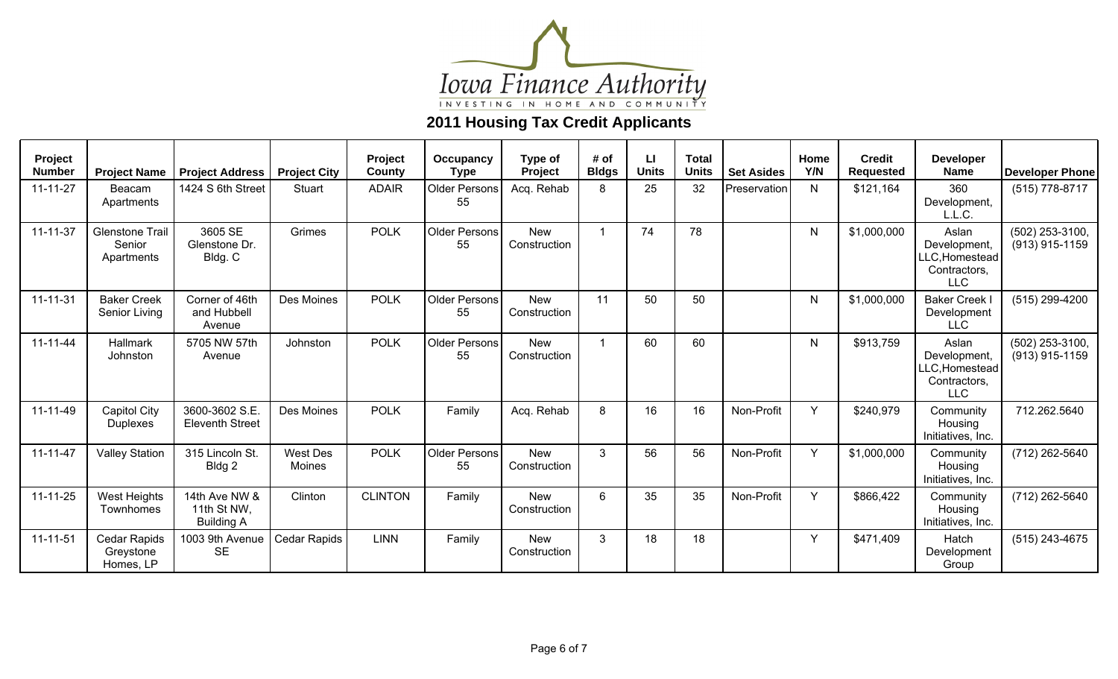

| Project<br><b>Number</b> | <b>Project Name</b>                            | <b>Project Address</b>                            | <b>Project City</b>       | Project<br>County | Occupancy<br><b>Type</b>   | Type of<br>Project         | # of<br><b>Bldgs</b> | LI<br><b>Units</b> | <b>Total</b><br><b>Units</b> | <b>Set Asides</b> | Home<br>Y/N | <b>Credit</b><br><b>Requested</b> | <b>Developer</b><br><b>Name</b>                                       | <b>Developer Phone</b>              |
|--------------------------|------------------------------------------------|---------------------------------------------------|---------------------------|-------------------|----------------------------|----------------------------|----------------------|--------------------|------------------------------|-------------------|-------------|-----------------------------------|-----------------------------------------------------------------------|-------------------------------------|
| $11 - 11 - 27$           | Beacam<br>Apartments                           | 1424 S 6th Street                                 | Stuart                    | <b>ADAIR</b>      | <b>Older Persons</b><br>55 | Acq. Rehab                 | 8                    | 25                 | 32                           | Preservation      | N           | \$121,164                         | 360<br>Development,<br>L.L.C.                                         | (515) 778-8717                      |
| $11 - 11 - 37$           | <b>Glenstone Trail</b><br>Senior<br>Apartments | 3605 SE<br>Glenstone Dr.<br>Bldg. C               | Grimes                    | <b>POLK</b>       | <b>Older Persons</b><br>55 | <b>New</b><br>Construction |                      | 74                 | 78                           |                   | N           | \$1,000,000                       | Aslan<br>Development,<br>LLC, Homestead<br>Contractors,<br><b>LLC</b> | (502) 253-3100,<br>$(913)$ 915-1159 |
| $11 - 11 - 31$           | <b>Baker Creek</b><br>Senior Living            | Corner of 46th<br>and Hubbell<br>Avenue           | Des Moines                | <b>POLK</b>       | <b>Older Persons</b><br>55 | <b>New</b><br>Construction | 11                   | 50                 | 50                           |                   | N.          | \$1,000,000                       | <b>Baker Creek I</b><br>Development<br><b>LLC</b>                     | (515) 299-4200                      |
| $11 - 11 - 44$           | <b>Hallmark</b><br>Johnston                    | 5705 NW 57th<br>Avenue                            | Johnston                  | <b>POLK</b>       | <b>Older Persons</b><br>55 | <b>New</b><br>Construction |                      | 60                 | 60                           |                   | N           | \$913,759                         | Aslan<br>Development.<br>LLC, Homestead<br>Contractors,<br><b>LLC</b> | (502) 253-3100,<br>$(913)$ 915-1159 |
| $11 - 11 - 49$           | <b>Capitol City</b><br><b>Duplexes</b>         | 3600-3602 S.E.<br><b>Eleventh Street</b>          | Des Moines                | <b>POLK</b>       | Family                     | Acq. Rehab                 | 8                    | 16                 | 16                           | Non-Profit        | Y           | \$240,979                         | Community<br>Housing<br>Initiatives, Inc.                             | 712.262.5640                        |
| $11 - 11 - 47$           | <b>Valley Station</b>                          | 315 Lincoln St.<br>Bldg <sub>2</sub>              | <b>West Des</b><br>Moines | <b>POLK</b>       | <b>Older Persons</b><br>55 | <b>New</b><br>Construction | 3                    | 56                 | 56                           | Non-Profit        | Y           | \$1,000,000                       | Community<br>Housing<br>Initiatives, Inc.                             | (712) 262-5640                      |
| $11 - 11 - 25$           | <b>West Heights</b><br>Townhomes               | 14th Ave NW &<br>11th St NW,<br><b>Building A</b> | Clinton                   | <b>CLINTON</b>    | Family                     | <b>New</b><br>Construction | 6                    | 35                 | 35                           | Non-Profit        | Y           | \$866,422                         | Community<br>Housing<br>Initiatives, Inc.                             | (712) 262-5640                      |
| $11 - 11 - 51$           | <b>Cedar Rapids</b><br>Greystone<br>Homes, LP  | 1003 9th Avenue<br><b>SE</b>                      | Cedar Rapids              | <b>LINN</b>       | Family                     | <b>New</b><br>Construction | 3                    | 18                 | 18                           |                   | Y           | \$471,409                         | Hatch<br>Development<br>Group                                         | (515) 243-4675                      |